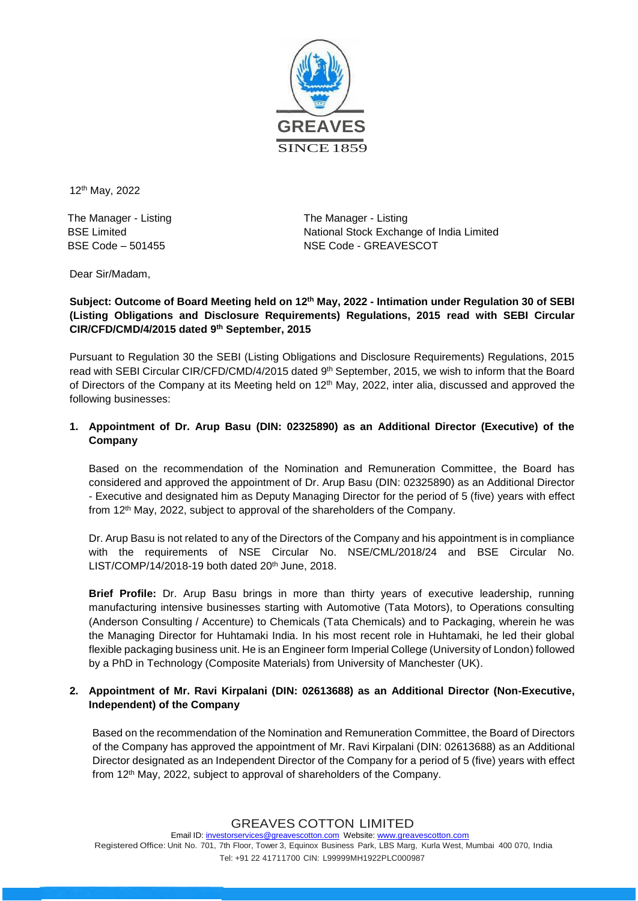

12 th May, 2022

The Manager - Listing BSE Limited BSE Code – 501455

The Manager - Listing National Stock Exchange of India Limited NSE Code - GREAVESCOT

Dear Sir/Madam,

# **Subject: Outcome of Board Meeting held on 12 th May, 2022 - Intimation under Regulation 30 of SEBI (Listing Obligations and Disclosure Requirements) Regulations, 2015 read with SEBI Circular CIR/CFD/CMD/4/2015 dated 9 th September, 2015**

Pursuant to Regulation 30 the SEBI (Listing Obligations and Disclosure Requirements) Regulations, 2015 read with SEBI Circular CIR/CFD/CMD/4/2015 dated 9<sup>th</sup> September, 2015, we wish to inform that the Board of Directors of the Company at its Meeting held on 12<sup>th</sup> May, 2022, inter alia, discussed and approved the following businesses:

# **1. Appointment of Dr. Arup Basu (DIN: 02325890) as an Additional Director (Executive) of the Company**

Based on the recommendation of the Nomination and Remuneration Committee, the Board has considered and approved the appointment of Dr. Arup Basu (DIN: 02325890) as an Additional Director - Executive and designated him as Deputy Managing Director for the period of 5 (five) years with effect from 12<sup>th</sup> May, 2022, subject to approval of the shareholders of the Company.

Dr. Arup Basu is not related to any of the Directors of the Company and his appointment is in compliance with the requirements of NSE Circular No. NSE/CML/2018/24 and BSE Circular No. LIST/COMP/14/2018-19 both dated 20<sup>th</sup> June, 2018.

**Brief Profile:** Dr. Arup Basu brings in more than thirty years of executive leadership, running manufacturing intensive businesses starting with Automotive (Tata Motors), to Operations consulting (Anderson Consulting / Accenture) to Chemicals (Tata Chemicals) and to Packaging, wherein he was the Managing Director for Huhtamaki India. In his most recent role in Huhtamaki, he led their global flexible packaging business unit. He is an Engineer form Imperial College (University of London) followed by a PhD in Technology (Composite Materials) from University of Manchester (UK).

### **2. Appointment of Mr. Ravi Kirpalani (DIN: 02613688) as an Additional Director (Non-Executive, Independent) of the Company**

Based on the recommendation of the Nomination and Remuneration Committee, the Board of Directors of the Company has approved the appointment of Mr. Ravi Kirpalani (DIN: 02613688) as an Additional Director designated as an Independent Director of the Company for a period of 5 (five) years with effect from 12<sup>th</sup> May, 2022, subject to approval of shareholders of the Company.

GREAVES COTTON LIMITED

Email ID[: investorservices@greavescotton.com](mailto:investorservices@greavescotton.com) Website[: www.greavescotton.com](http://www.greavescotton.com/) Registered Office: Unit No. 701, 7th Floor, Tower 3, Equinox Business Park, LBS Marg, Kurla West, Mumbai 400 070, India Tel: +91 22 41711700 CIN: L99999MH1922PLC000987